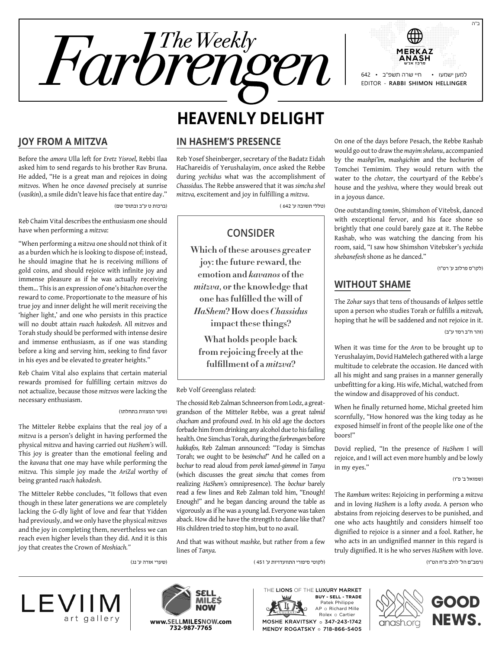

# **Heavenly Delight**

### **Joy from a Mitzva**

Before the *amora* Ulla left for *Eretz Yisroel,* Rebbi Ilaa asked him to send regards to his brother Rav Bruna. He added, "He is a great man and rejoices in doing *mitzvos*. When he once *davened* precisely at sunrise (*vasikin*), a smile didn't leave his face that entire day."

)ברכות ט ע"ב ובתוס' שם(

Reb Chaim Vital describes the enthusiasm one should have when performing a *mitzva*:

"When performing a *mitzva* one should not think of it as a burden which he is looking to dispose of; instead, he should imagine that he is receiving millions of gold coins, and should rejoice with infinite joy and immense pleasure as if he was actually receiving them… This is an expression of one's *bitachon* over the reward to come. Proportionate to the measure of his true joy and inner delight he will merit receiving the 'higher light,' and one who persists in this practice will no doubt attain *ruach hakodesh*. All *mitzvos* and Torah study should be performed with intense desire and immense enthusiasm, as if one was standing before a king and serving him, seeking to find favor in his eyes and be elevated to greater heights."

Reb Chaim Vital also explains that certain material rewards promised for fulfilling certain *mitzvos* do not actualize, because those *mitzvos* were lacking the necessary enthusiasm.

#### )שער המצוות בתחלתו(

)שערי אורה ע' נג(

The Mitteler Rebbe explains that the real joy of a *mitzva* is a person's delight in having performed the physical *mitzva* and having carried out *HaShem's* will. This joy is greater than the emotional feeling and the *kavana* that one may have while performing the *mitzva*. This simple joy made the *AriZal* worthy of being granted *ruach hakodesh*.

The Mitteler Rebbe concludes, "It follows that even though in these later generations we are completely lacking the G-dly light of love and fear that Yidden had previously, and we only have the physical *mitzvos*  and the joy in completing them, nevertheless we can reach even higher levels than they did. And it is this joy that creates the Crown of *Moshiach."*

#### **In HaShem's Presence**

Reb Yosef Sheinberger, secretary of the Badatz Eidah HaChareidis of Yerushalayim, once asked the Rebbe during *yechidus* what was the accomplishment of *Chassidus.* The Rebbe answered that it was *simcha shel mitzva,* excitement and joy in fulfilling a *mitzva*.

)טללי תשובה ע' 642 (

## **Consider**

**Which of these arouses greater joy: the future reward, the emotion and** *kavanos* **of the**  *mitzva***, or the knowledge that one has fulfilled the will of**  *HaShem***? How does** *Chassidus* **impact these things?** 

**What holds people back from rejoicing freely at the fulfillment of a** *mitzva***?**

#### Reb Volf Greenglass related:

The chossid Reb Zalman Schneerson from Lodz, a greatgrandson of the Mitteler Rebbe, was a great *talmid chacham* and profound *oved*. In his old age the doctors forbade him from drinking any alcohol due to his failing health. One Simchas Torah, during the *farbrengen* before *hakkafos,* Reb Zalman announced: "Today is Simchas Torah; we ought to be *besimcha!*" And he called on a *bochur* to read aloud from *perek lamed-gimmel* in *Tanya*  (which discusses the great *simcha* that comes from realizing *HaShem's* omnipresence). The *bochur* barely read a few lines and Reb Zalman told him, "Enough! Enough!" and he began dancing around the table as vigorously as if he was a young lad. Everyone was taken aback. How did he have the strength to dance like that? His children tried to stop him, but to no avail.

And that was without *mashke,* but rather from a few lines of *Tanya.*

)לקוטי סיפורי התוועדויות ע' 451 (

On one of the days before Pesach, the Rebbe Rashab would go out to draw the *mayim shelanu*, accompanied by the *mashpi'im, mashgichim* and the *bochurim* of Tomchei Temimim. They would return with the water to the *chotzer*, the courtyard of the Rebbe's house and the *yeshiva*, where they would break out in a joyous dance.

One outstanding *tomim*, Shimshon of Vitebsk, danced with exceptional fervor, and his face shone so brightly that one could barely gaze at it. The Rebbe Rashab, who was watching the dancing from his room, said, "I saw how Shimshon Vitebsker's *yechida shebanefesh* shone as he danced."

)לקו"ס פרלוב ע' רט"ו(

## **Without Shame**

The *Zohar* says that tens of thousands of *kelipos* settle upon a person who studies Torah or fulfills a *mitzvah,*  hoping that he will be saddened and not rejoice in it.

)זהר ח"ב רסד ע"ב(

When it was time for the *Aron* to be brought up to Yerushalayim, Dovid HaMelech gathered with a large multitude to celebrate the occasion. He danced with all his might and sang praises in a manner generally unbefitting for a king. His wife, Michal, watched from the window and disapproved of his conduct.

When he finally returned home, Michal greeted him scornfully, "How honored was the king today as he exposed himself in front of the people like one of the boors!"

Dovid replied, "In the presence of *HaShem* I will rejoice, and I will act even more humbly and be lowly in my eyes."

)שמואל ב' פ"ו(

The *Rambam* writes: Rejoicing in performing a *mitzva*  and in loving *HaShem* is a lofty *avoda*. A person who abstains from rejoicing deserves to be punished, and one who acts haughtily and considers himself too dignified to rejoice is a sinner and a fool. Rather, he who acts in an undignified manner in this regard is truly dignified. It is he who serves *HaShem* with love.

)רמב"ם הל' לולב פ"ח הט"ו(





PLITTANIARE ROLEX O Cartier **www.SELLMILESNOW.com** MOSHE KRAVITSKY o 347-243-1742 | CINCISN.Org **NEWS.** Patek Philippe AP o Richard Mille THE LIONS OF THE LUXURY MARKET MOSHE KRAVITSKY o 347-243-1742 MENDY ROGATSKY o 718-866-5405 **Buy - Sell - Trade**





ב"ה